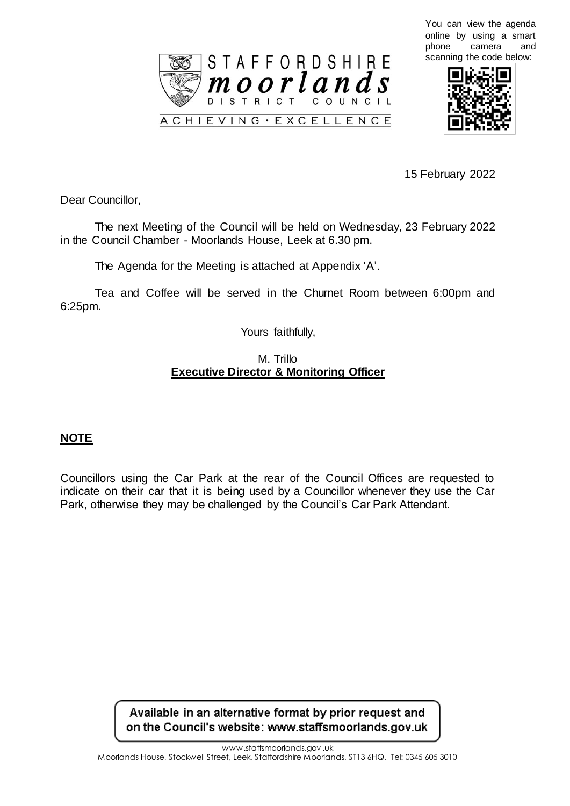





15 February 2022

Dear Councillor,

The next Meeting of the Council will be held on Wednesday, 23 February 2022 in the Council Chamber - Moorlands House, Leek at 6.30 pm.

The Agenda for the Meeting is attached at Appendix 'A'.

Tea and Coffee will be served in the Churnet Room between 6:00pm and 6:25pm.

Yours faithfully,

## M. Trillo **Executive Director & Monitoring Officer**

## **NOTE**

Councillors using the Car Park at the rear of the Council Offices are requested to indicate on their car that it is being used by a Councillor whenever they use the Car Park, otherwise they may be challenged by the Council's Car Park Attendant.

> Available in an alternative format by prior request and on the Council's website: www.staffsmoorlands.gov.uk

> > www.staffsmoorlands.gov .uk

Moorlands House, Stockwell Street, Leek, Staffordshire Moorlands, ST13 6HQ. Tel: 0345 605 3010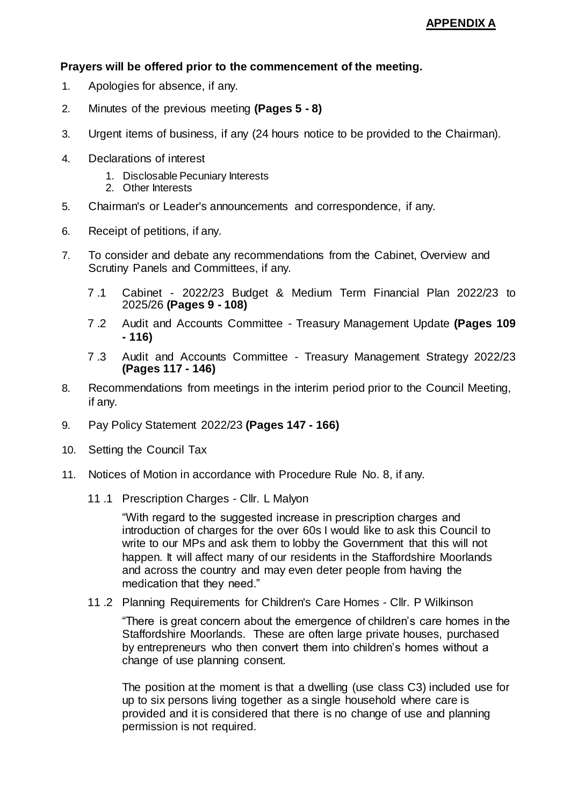## **Prayers will be offered prior to the commencement of the meeting.**

- 1. Apologies for absence, if any.
- 2. Minutes of the previous meeting **(Pages 5 - 8)**
- 3. Urgent items of business, if any (24 hours notice to be provided to the Chairman).
- 4. Declarations of interest
	- 1. Disclosable Pecuniary Interests
	- 2. Other Interests
- 5. Chairman's or Leader's announcements and correspondence, if any.
- 6. Receipt of petitions, if any.
- 7. To consider and debate any recommendations from the Cabinet, Overview and Scrutiny Panels and Committees, if any.
	- 7 .1 Cabinet 2022/23 Budget & Medium Term Financial Plan 2022/23 to 2025/26 **(Pages 9 - 108)**
	- 7 .2 Audit and Accounts Committee Treasury Management Update **(Pages 109 - 116)**
	- 7 .3 Audit and Accounts Committee Treasury Management Strategy 2022/23 **(Pages 117 - 146)**
- 8. Recommendations from meetings in the interim period prior to the Council Meeting, if any.
- 9. Pay Policy Statement 2022/23 **(Pages 147 - 166)**
- 10. Setting the Council Tax
- 11. Notices of Motion in accordance with Procedure Rule No. 8, if any.
	- 11 .1 Prescription Charges Cllr. L Malyon

"With regard to the suggested increase in prescription charges and introduction of charges for the over 60s I would like to ask this Council to write to our MPs and ask them to lobby the Government that this will not happen. It will affect many of our residents in the Staffordshire Moorlands and across the country and may even deter people from having the medication that they need."

11 .2 Planning Requirements for Children's Care Homes - Cllr. P Wilkinson

"There is great concern about the emergence of children's care homes in the Staffordshire Moorlands. These are often large private houses, purchased by entrepreneurs who then convert them into children's homes without a change of use planning consent.

The position at the moment is that a dwelling (use class C3) included use for up to six persons living together as a single household where care is provided and it is considered that there is no change of use and planning permission is not required.